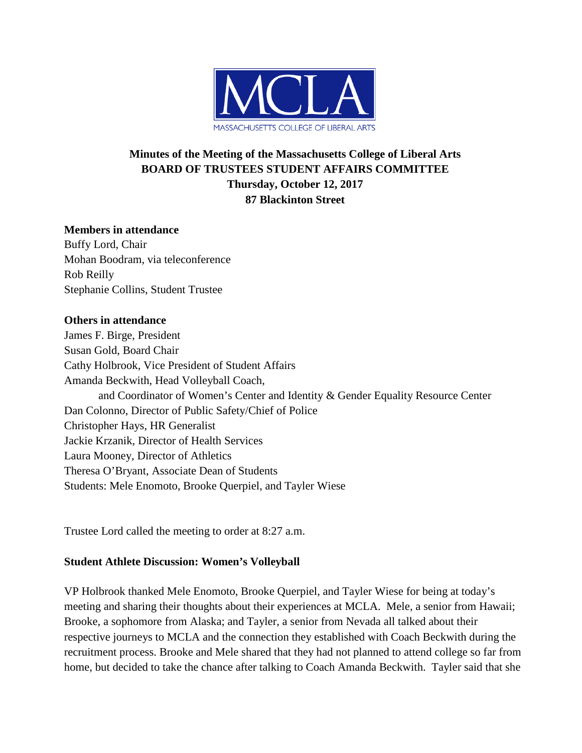

# **Minutes of the Meeting of the Massachusetts College of Liberal Arts BOARD OF TRUSTEES STUDENT AFFAIRS COMMITTEE Thursday, October 12, 2017 87 Blackinton Street**

## **Members in attendance**

Buffy Lord, Chair Mohan Boodram, via teleconference Rob Reilly Stephanie Collins, Student Trustee

### **Others in attendance**

James F. Birge, President Susan Gold, Board Chair Cathy Holbrook, Vice President of Student Affairs Amanda Beckwith, Head Volleyball Coach, and Coordinator of Women's Center and Identity & Gender Equality Resource Center Dan Colonno, Director of Public Safety/Chief of Police Christopher Hays, HR Generalist Jackie Krzanik, Director of Health Services Laura Mooney, Director of Athletics Theresa O'Bryant, Associate Dean of Students Students: Mele Enomoto, Brooke Querpiel, and Tayler Wiese

Trustee Lord called the meeting to order at 8:27 a.m.

### **Student Athlete Discussion: Women's Volleyball**

VP Holbrook thanked Mele Enomoto, Brooke Querpiel, and Tayler Wiese for being at today's meeting and sharing their thoughts about their experiences at MCLA. Mele, a senior from Hawaii; Brooke, a sophomore from Alaska; and Tayler, a senior from Nevada all talked about their respective journeys to MCLA and the connection they established with Coach Beckwith during the recruitment process. Brooke and Mele shared that they had not planned to attend college so far from home, but decided to take the chance after talking to Coach Amanda Beckwith. Tayler said that she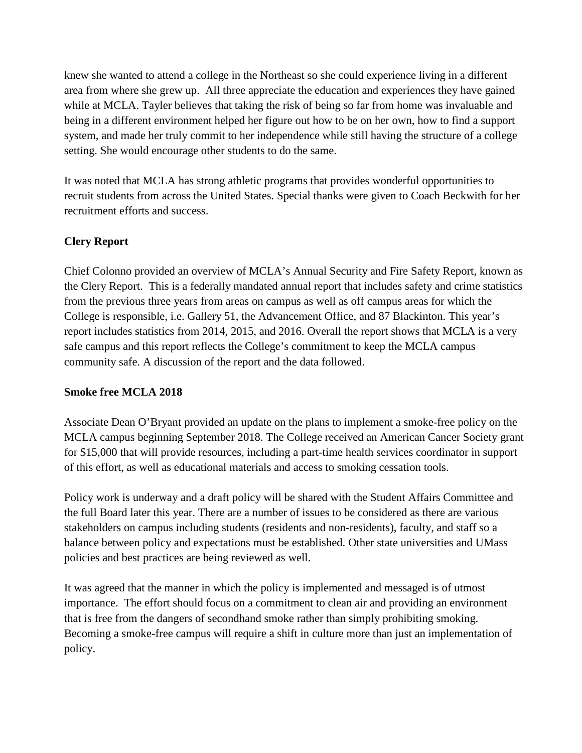knew she wanted to attend a college in the Northeast so she could experience living in a different area from where she grew up. All three appreciate the education and experiences they have gained while at MCLA. Tayler believes that taking the risk of being so far from home was invaluable and being in a different environment helped her figure out how to be on her own, how to find a support system, and made her truly commit to her independence while still having the structure of a college setting. She would encourage other students to do the same.

It was noted that MCLA has strong athletic programs that provides wonderful opportunities to recruit students from across the United States. Special thanks were given to Coach Beckwith for her recruitment efforts and success.

## **Clery Report**

Chief Colonno provided an overview of MCLA's Annual Security and Fire Safety Report, known as the Clery Report. This is a federally mandated annual report that includes safety and crime statistics from the previous three years from areas on campus as well as off campus areas for which the College is responsible, i.e. Gallery 51, the Advancement Office, and 87 Blackinton. This year's report includes statistics from 2014, 2015, and 2016. Overall the report shows that MCLA is a very safe campus and this report reflects the College's commitment to keep the MCLA campus community safe. A discussion of the report and the data followed.

### **Smoke free MCLA 2018**

Associate Dean O'Bryant provided an update on the plans to implement a smoke-free policy on the MCLA campus beginning September 2018. The College received an American Cancer Society grant for \$15,000 that will provide resources, including a part-time health services coordinator in support of this effort, as well as educational materials and access to smoking cessation tools.

Policy work is underway and a draft policy will be shared with the Student Affairs Committee and the full Board later this year. There are a number of issues to be considered as there are various stakeholders on campus including students (residents and non-residents), faculty, and staff so a balance between policy and expectations must be established. Other state universities and UMass policies and best practices are being reviewed as well.

It was agreed that the manner in which the policy is implemented and messaged is of utmost importance. The effort should focus on a commitment to clean air and providing an environment that is free from the dangers of secondhand smoke rather than simply prohibiting smoking. Becoming a smoke-free campus will require a shift in culture more than just an implementation of policy.